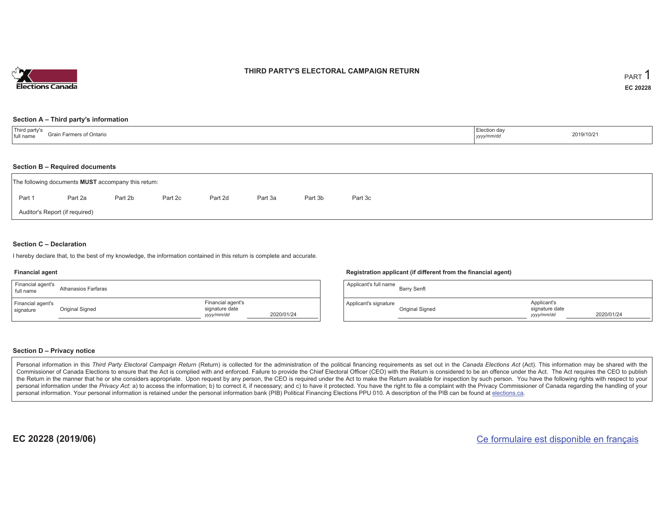

## **THIRD PARTY'S ELECTORAL CAMPAIGN RETURN**

#### **Section A – Third party's information**

| <sup>1</sup> Third party's<br><b>Earmers of Ontario</b><br>$C$ roin<br>full name | Election day<br>yyyy/mm/do | 2019/10/21 |
|----------------------------------------------------------------------------------|----------------------------|------------|
|----------------------------------------------------------------------------------|----------------------------|------------|

#### **Section B – Required documents**

|        | The following documents <b>MUST</b> accompany this return: |         |         |         |         |         |         |  |
|--------|------------------------------------------------------------|---------|---------|---------|---------|---------|---------|--|
| Part 1 | Part 2a                                                    | Part 2b | Part 2c | Part 2d | Part 3a | Part 3b | Part 3c |  |
|        | Auditor's Report (if required)                             |         |         |         |         |         |         |  |

### **Section C – Declaration**

I hereby declare that, to the best of my knowledge, the information contained in this return is complete and accurate.

#### **Financial agent**

| Financial agent's<br>full name | Athanasios Farfaras |                                                   |            | Applicant's fu |
|--------------------------------|---------------------|---------------------------------------------------|------------|----------------|
| Financial agent's<br>signature | Original Signed     | Financial agent's<br>signature date<br>yyyy/mm/dd | 2020/01/24 | Applicant's si |

#### **Registration applicant (if different from the financial agent)**

| Applicant's full name | <b>Barry Senft</b> |                                             |            |
|-----------------------|--------------------|---------------------------------------------|------------|
| Applicant's signature | Original Signed    | Applicant's<br>signature date<br>yyyy/mm/dd | 2020/01/24 |

### **Section D – Privacy notice**

Personal information in this Third Party Electoral Campaign Return (Return) is collected for the administration of the political financing requirements as set out in the Canada Elections Act (Act). This information may be Commissioner of Canada Elections to ensure that the Act is complied with and enforced. Failure to provide the Chief Electoral Officer (CEO) with the Return is considered to be an offence under the Act. The Act requires the the Return in the manner that he or she considers appropriate. Upon request by any person, the CEO is required under the Act to make the Return available for inspection by such person. You have the following rights with re personal information under the Privacy Act: a) to access the information; b) to correct it, if necessary; and c) to have it protected. You have the right to file a complaint with the Privacy Commissioner of Canada regardin personal information. Your personal information is retained under the personal information bank (PIB) Political Financing Elections PPU 010. A description of the PIB can be found at elections.ca.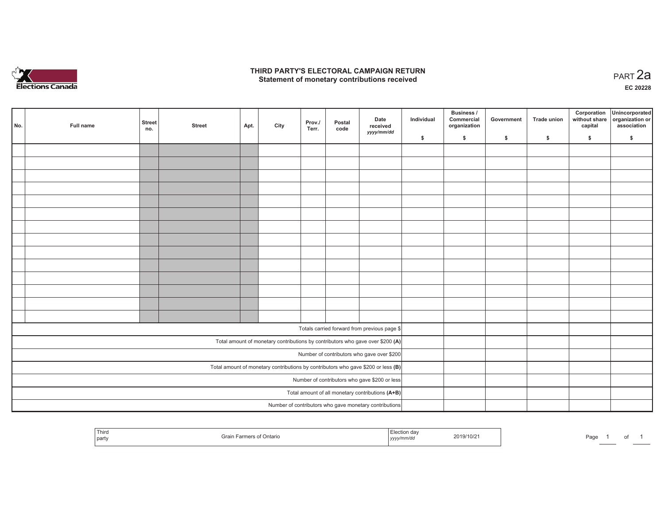

## **THIRD PARTY'S ELECTORAL CAMPAIGN RETURN HIRD PARTY'S ELECTORAL CAMPAIGN RETURN<br>Statement of monetary contributions received PART 2a**

**EC 20228**

| No. |                                                                                     | Full name | Street<br>no. | <b>Street</b> | Apt. | City | Prov./<br>Terr. | Postal<br>code | Date<br>received<br>yyyy/mm/dd                         | Individual | <b>Business /</b><br>Commercial<br>organization | Government | Trade union | Corporation<br>capital | Unincorporated<br>without share organization or<br>association |
|-----|-------------------------------------------------------------------------------------|-----------|---------------|---------------|------|------|-----------------|----------------|--------------------------------------------------------|------------|-------------------------------------------------|------------|-------------|------------------------|----------------------------------------------------------------|
|     |                                                                                     |           |               |               |      |      |                 |                |                                                        | \$         | \$                                              | \$         | \$          | \$                     | \$                                                             |
|     |                                                                                     |           |               |               |      |      |                 |                |                                                        |            |                                                 |            |             |                        |                                                                |
|     |                                                                                     |           |               |               |      |      |                 |                |                                                        |            |                                                 |            |             |                        |                                                                |
|     |                                                                                     |           |               |               |      |      |                 |                |                                                        |            |                                                 |            |             |                        |                                                                |
|     |                                                                                     |           |               |               |      |      |                 |                |                                                        |            |                                                 |            |             |                        |                                                                |
|     |                                                                                     |           |               |               |      |      |                 |                |                                                        |            |                                                 |            |             |                        |                                                                |
|     |                                                                                     |           |               |               |      |      |                 |                |                                                        |            |                                                 |            |             |                        |                                                                |
|     |                                                                                     |           |               |               |      |      |                 |                |                                                        |            |                                                 |            |             |                        |                                                                |
|     |                                                                                     |           |               |               |      |      |                 |                |                                                        |            |                                                 |            |             |                        |                                                                |
|     |                                                                                     |           |               |               |      |      |                 |                |                                                        |            |                                                 |            |             |                        |                                                                |
|     |                                                                                     |           |               |               |      |      |                 |                |                                                        |            |                                                 |            |             |                        |                                                                |
|     |                                                                                     |           |               |               |      |      |                 |                |                                                        |            |                                                 |            |             |                        |                                                                |
|     |                                                                                     |           |               |               |      |      |                 |                |                                                        |            |                                                 |            |             |                        |                                                                |
|     |                                                                                     |           |               |               |      |      |                 |                |                                                        |            |                                                 |            |             |                        |                                                                |
|     |                                                                                     |           |               |               |      |      |                 |                |                                                        |            |                                                 |            |             |                        |                                                                |
|     |                                                                                     |           |               |               |      |      |                 |                |                                                        |            |                                                 |            |             |                        |                                                                |
|     | Totals carried forward from previous page \$                                        |           |               |               |      |      |                 |                |                                                        |            |                                                 |            |             |                        |                                                                |
|     | Total amount of monetary contributions by contributors who gave over \$200 (A)      |           |               |               |      |      |                 |                |                                                        |            |                                                 |            |             |                        |                                                                |
|     | Number of contributors who gave over \$200                                          |           |               |               |      |      |                 |                |                                                        |            |                                                 |            |             |                        |                                                                |
|     | Total amount of monetary contributions by contributors who gave \$200 or less $(B)$ |           |               |               |      |      |                 |                |                                                        |            |                                                 |            |             |                        |                                                                |
|     | Number of contributors who gave \$200 or less                                       |           |               |               |      |      |                 |                |                                                        |            |                                                 |            |             |                        |                                                                |
|     | Total amount of all monetary contributions (A+B)                                    |           |               |               |      |      |                 |                |                                                        |            |                                                 |            |             |                        |                                                                |
|     |                                                                                     |           |               |               |      |      |                 |                | Number of contributors who gave monetary contributions |            |                                                 |            |             |                        |                                                                |

| Third<br>party | of Ontario<br>$\sim$<br>Falliers.<br>ו וווה וכ | $\overline{\phantom{a}}$<br>ection<br>aa<br>.<br>, yyyy/mm/aa | 2019/10/21 | Page |  |  |  |
|----------------|------------------------------------------------|---------------------------------------------------------------|------------|------|--|--|--|
|----------------|------------------------------------------------|---------------------------------------------------------------|------------|------|--|--|--|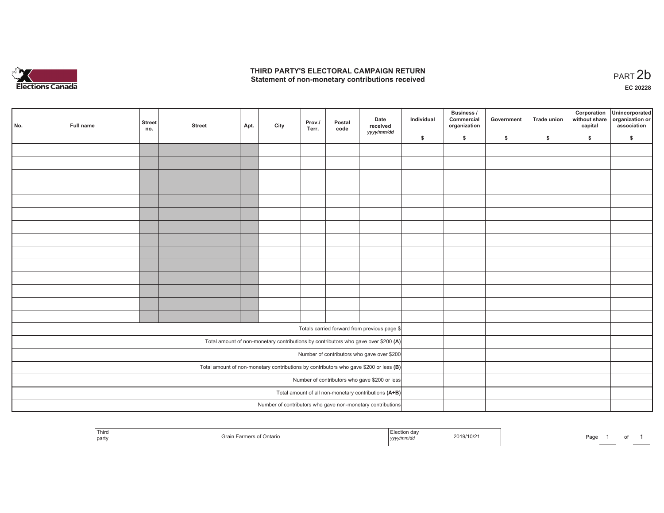

## **THIRD PARTY'S ELECTORAL CAMPAIGN RETURN**  THIRD PARTY'S ELECTORAL CAMPAIGN RETURN<br>Statement of non-monetary contributions received

of 1

| No. | Full name                                     | <b>Street</b><br>no. | <b>Street</b> | Apt. | City | Prov./<br>Terr. | Postal<br>code | Date<br>received<br>yyyy/mm/dd                                                          | Individual | <b>Business /</b><br>Commercial<br>organization | Government   | Trade union  | Corporation<br>without share<br>capital | Unincorporated<br>organization or<br>association |
|-----|-----------------------------------------------|----------------------|---------------|------|------|-----------------|----------------|-----------------------------------------------------------------------------------------|------------|-------------------------------------------------|--------------|--------------|-----------------------------------------|--------------------------------------------------|
|     |                                               |                      |               |      |      |                 |                |                                                                                         | \$         | \$                                              | $\mathsf{s}$ | $\mathbf{s}$ | \$                                      | \$                                               |
|     |                                               |                      |               |      |      |                 |                |                                                                                         |            |                                                 |              |              |                                         |                                                  |
|     |                                               |                      |               |      |      |                 |                |                                                                                         |            |                                                 |              |              |                                         |                                                  |
|     |                                               |                      |               |      |      |                 |                |                                                                                         |            |                                                 |              |              |                                         |                                                  |
|     |                                               |                      |               |      |      |                 |                |                                                                                         |            |                                                 |              |              |                                         |                                                  |
|     |                                               |                      |               |      |      |                 |                |                                                                                         |            |                                                 |              |              |                                         |                                                  |
|     |                                               |                      |               |      |      |                 |                |                                                                                         |            |                                                 |              |              |                                         |                                                  |
|     |                                               |                      |               |      |      |                 |                |                                                                                         |            |                                                 |              |              |                                         |                                                  |
|     |                                               |                      |               |      |      |                 |                |                                                                                         |            |                                                 |              |              |                                         |                                                  |
|     |                                               |                      |               |      |      |                 |                |                                                                                         |            |                                                 |              |              |                                         |                                                  |
|     |                                               |                      |               |      |      |                 |                |                                                                                         |            |                                                 |              |              |                                         |                                                  |
|     |                                               |                      |               |      |      |                 |                |                                                                                         |            |                                                 |              |              |                                         |                                                  |
|     |                                               |                      |               |      |      |                 |                |                                                                                         |            |                                                 |              |              |                                         |                                                  |
|     |                                               |                      |               |      |      |                 |                |                                                                                         |            |                                                 |              |              |                                         |                                                  |
|     |                                               |                      |               |      |      |                 |                |                                                                                         |            |                                                 |              |              |                                         |                                                  |
|     |                                               |                      |               |      |      |                 |                |                                                                                         |            |                                                 |              |              |                                         |                                                  |
|     |                                               |                      |               |      |      |                 |                | Totals carried forward from previous page \$                                            |            |                                                 |              |              |                                         |                                                  |
|     |                                               |                      |               |      |      |                 |                | Total amount of non-monetary contributions by contributors who gave over \$200 (A)      |            |                                                 |              |              |                                         |                                                  |
|     |                                               |                      |               |      |      |                 |                | Number of contributors who gave over \$200                                              |            |                                                 |              |              |                                         |                                                  |
|     |                                               |                      |               |      |      |                 |                | Total amount of non-monetary contributions by contributors who gave \$200 or less $(B)$ |            |                                                 |              |              |                                         |                                                  |
|     | Number of contributors who gave \$200 or less |                      |               |      |      |                 |                |                                                                                         |            |                                                 |              |              |                                         |                                                  |
|     |                                               |                      |               |      |      |                 |                | Total amount of all non-monetary contributions (A+B)                                    |            |                                                 |              |              |                                         |                                                  |
|     |                                               |                      |               |      |      |                 |                | Number of contributors who gave non-monetary contributions                              |            |                                                 |              |              |                                         |                                                  |
|     |                                               |                      |               |      |      |                 |                |                                                                                         |            |                                                 |              |              |                                         |                                                  |

| Third<br>Farmers of Ontario<br>I par | <b>∍ction da</b> ∨<br>2019/10/21<br>yyyy/mm/aa | Page<br>$\sim$ |
|--------------------------------------|------------------------------------------------|----------------|
|--------------------------------------|------------------------------------------------|----------------|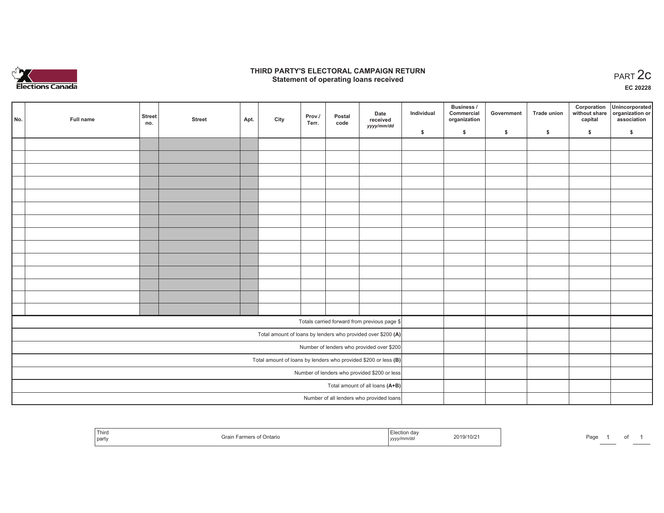

## **THIRD PARTY'S ELECTORAL CAMPAIGN RETURN STATE:** PARTY'S ELECTORAL CAMPAIGN RETURN<br>
Statement of operating loans received

**EC 20228**

| No. | Full name                                    | <b>Street</b> | <b>Street</b> | Apt. | City | Prov./ | Postal | Date<br>received                                                  | Individual | <b>Business /</b><br>Commercial<br>organization | Government | <b>Trade union</b> | Corporation<br>capital | Unincorporated<br>without share organization or<br>association |
|-----|----------------------------------------------|---------------|---------------|------|------|--------|--------|-------------------------------------------------------------------|------------|-------------------------------------------------|------------|--------------------|------------------------|----------------------------------------------------------------|
|     |                                              | no.           |               |      |      | Terr.  | code   | yyyy/mm/dd                                                        | \$         | \$                                              | \$         | \$                 | \$                     | \$                                                             |
|     |                                              |               |               |      |      |        |        |                                                                   |            |                                                 |            |                    |                        |                                                                |
|     |                                              |               |               |      |      |        |        |                                                                   |            |                                                 |            |                    |                        |                                                                |
|     |                                              |               |               |      |      |        |        |                                                                   |            |                                                 |            |                    |                        |                                                                |
|     |                                              |               |               |      |      |        |        |                                                                   |            |                                                 |            |                    |                        |                                                                |
|     |                                              |               |               |      |      |        |        |                                                                   |            |                                                 |            |                    |                        |                                                                |
|     |                                              |               |               |      |      |        |        |                                                                   |            |                                                 |            |                    |                        |                                                                |
|     |                                              |               |               |      |      |        |        |                                                                   |            |                                                 |            |                    |                        |                                                                |
|     |                                              |               |               |      |      |        |        |                                                                   |            |                                                 |            |                    |                        |                                                                |
|     |                                              |               |               |      |      |        |        |                                                                   |            |                                                 |            |                    |                        |                                                                |
|     |                                              |               |               |      |      |        |        |                                                                   |            |                                                 |            |                    |                        |                                                                |
|     |                                              |               |               |      |      |        |        |                                                                   |            |                                                 |            |                    |                        |                                                                |
|     |                                              |               |               |      |      |        |        |                                                                   |            |                                                 |            |                    |                        |                                                                |
|     |                                              |               |               |      |      |        |        |                                                                   |            |                                                 |            |                    |                        |                                                                |
|     |                                              |               |               |      |      |        |        |                                                                   |            |                                                 |            |                    |                        |                                                                |
|     |                                              |               |               |      |      |        |        | Totals carried forward from previous page \$                      |            |                                                 |            |                    |                        |                                                                |
|     |                                              |               |               |      |      |        |        | Total amount of loans by lenders who provided over \$200 (A)      |            |                                                 |            |                    |                        |                                                                |
|     |                                              |               |               |      |      |        |        | Number of lenders who provided over \$200                         |            |                                                 |            |                    |                        |                                                                |
|     |                                              |               |               |      |      |        |        | Total amount of loans by lenders who provided \$200 or less $(B)$ |            |                                                 |            |                    |                        |                                                                |
|     | Number of lenders who provided \$200 or less |               |               |      |      |        |        |                                                                   |            |                                                 |            |                    |                        |                                                                |
|     |                                              |               |               |      |      |        |        | Total amount of all loans (A+B)                                   |            |                                                 |            |                    |                        |                                                                |
|     |                                              |               |               |      |      |        |        | Number of all lenders who provided loans                          |            |                                                 |            |                    |                        |                                                                |

| l Thiro<br>j partv | Ontario<br>Farmers r.<br>знан. | oction da∿<br>vvv/mm/a<br>,,,, | 2019/10/2<br>the contract of the contract of the contract of the contract of the contract of | Pagu |  |
|--------------------|--------------------------------|--------------------------------|----------------------------------------------------------------------------------------------|------|--|
|--------------------|--------------------------------|--------------------------------|----------------------------------------------------------------------------------------------|------|--|

of 1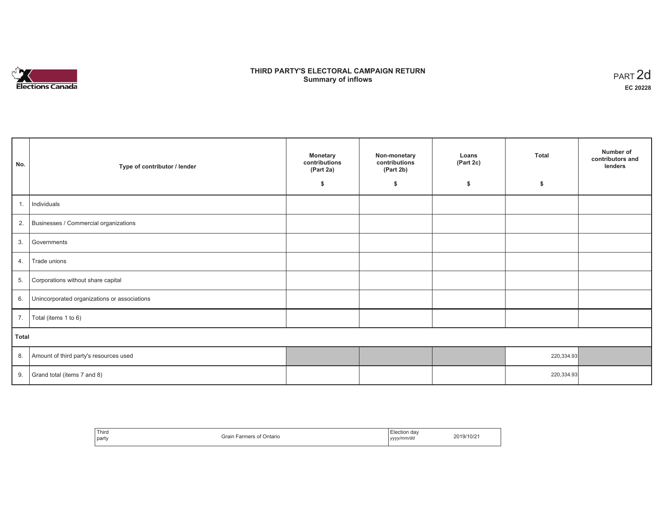

# **THIRD PARTY'S ELECTORAL CAMPAIGN RETURN S** ELECTORAL CAMPAIGN RETURN<br>Summary of inflows PART 2d

| No.   | Type of contributor / lender                 | <b>Monetary</b><br>contributions<br>(Part 2a)<br>\$ | Non-monetary<br>contributions<br>(Part 2b)<br>\$ | Loans<br>(Part 2c)<br>\$ | <b>Total</b><br>\$ | Number of<br>contributors and<br>lenders |
|-------|----------------------------------------------|-----------------------------------------------------|--------------------------------------------------|--------------------------|--------------------|------------------------------------------|
|       |                                              |                                                     |                                                  |                          |                    |                                          |
| 1.    | Individuals                                  |                                                     |                                                  |                          |                    |                                          |
|       | 2. Businesses / Commercial organizations     |                                                     |                                                  |                          |                    |                                          |
| 3.    | Governments                                  |                                                     |                                                  |                          |                    |                                          |
| 4.    | Trade unions                                 |                                                     |                                                  |                          |                    |                                          |
| 5.    | Corporations without share capital           |                                                     |                                                  |                          |                    |                                          |
| 6.    | Unincorporated organizations or associations |                                                     |                                                  |                          |                    |                                          |
| 7.    | Total (items 1 to 6)                         |                                                     |                                                  |                          |                    |                                          |
| Total |                                              |                                                     |                                                  |                          |                    |                                          |
| 8.    | Amount of third party's resources used       |                                                     |                                                  |                          | 220,334.93         |                                          |
| 9.    | Grand total (items 7 and 8)                  |                                                     |                                                  |                          | 220,334.93         |                                          |

| ' Third<br>I party | <b>Grain Farmers of Ontario</b> | Election day<br>yyyy/mm/dd | 2019/10/21 |
|--------------------|---------------------------------|----------------------------|------------|
|--------------------|---------------------------------|----------------------------|------------|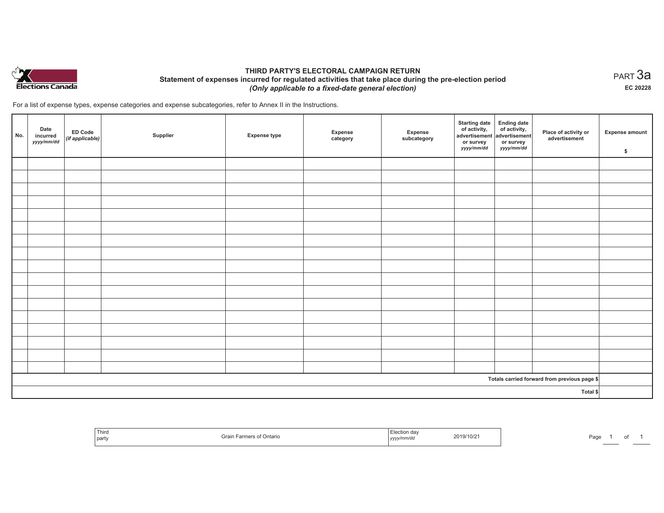

## **THIRD PARTY'S ELECTORAL CAMPAIGN RETURN Statement of expenses incurred for regulated activities that take place during the pre-election period**  *(Only applicable to a fixed-date general election)*

For a list of expense types, expense categories and expense subcategories, refer to Annex II in the Instructions.

| No.      | Date<br>incurred<br>yyyy/mm/dd | <b>ED Code</b><br>$($ if applicable $)$ | Supplier | <b>Expense type</b> | Expense<br>category | Expense<br>subcategory | <b>Starting date</b><br>of activity,<br>advertisement<br>or survey<br>yyyy/mm/dd | Ending date<br>of activity,<br>advertisement<br>or survey<br>yyyy/mm/dd | Place of activity or<br>advertisement        | <b>Expense amount</b><br>\$ |
|----------|--------------------------------|-----------------------------------------|----------|---------------------|---------------------|------------------------|----------------------------------------------------------------------------------|-------------------------------------------------------------------------|----------------------------------------------|-----------------------------|
|          |                                |                                         |          |                     |                     |                        |                                                                                  |                                                                         |                                              |                             |
|          |                                |                                         |          |                     |                     |                        |                                                                                  |                                                                         |                                              |                             |
|          |                                |                                         |          |                     |                     |                        |                                                                                  |                                                                         |                                              |                             |
|          |                                |                                         |          |                     |                     |                        |                                                                                  |                                                                         |                                              |                             |
|          |                                |                                         |          |                     |                     |                        |                                                                                  |                                                                         |                                              |                             |
|          |                                |                                         |          |                     |                     |                        |                                                                                  |                                                                         |                                              |                             |
|          |                                |                                         |          |                     |                     |                        |                                                                                  |                                                                         |                                              |                             |
|          |                                |                                         |          |                     |                     |                        |                                                                                  |                                                                         |                                              |                             |
|          |                                |                                         |          |                     |                     |                        |                                                                                  |                                                                         |                                              |                             |
|          |                                |                                         |          |                     |                     |                        |                                                                                  |                                                                         |                                              |                             |
|          |                                |                                         |          |                     |                     |                        |                                                                                  |                                                                         |                                              |                             |
|          |                                |                                         |          |                     |                     |                        |                                                                                  |                                                                         |                                              |                             |
|          |                                |                                         |          |                     |                     |                        |                                                                                  |                                                                         |                                              |                             |
|          |                                |                                         |          |                     |                     |                        |                                                                                  |                                                                         |                                              |                             |
|          |                                |                                         |          |                     |                     |                        |                                                                                  |                                                                         |                                              |                             |
|          |                                |                                         |          |                     |                     |                        |                                                                                  |                                                                         |                                              |                             |
|          |                                |                                         |          |                     |                     |                        |                                                                                  |                                                                         |                                              |                             |
|          |                                |                                         |          |                     |                     |                        |                                                                                  |                                                                         | Totals carried forward from previous page \$ |                             |
| Total \$ |                                |                                         |          |                     |                     |                        |                                                                                  |                                                                         |                                              |                             |

| Third<br>party | Ontario<br>11. A II I | 2019/10/2<br>yyyyınınvaa | Page |
|----------------|-----------------------|--------------------------|------|
|----------------|-----------------------|--------------------------|------|

 $_{\sf PART}$ 3a **EC 20228**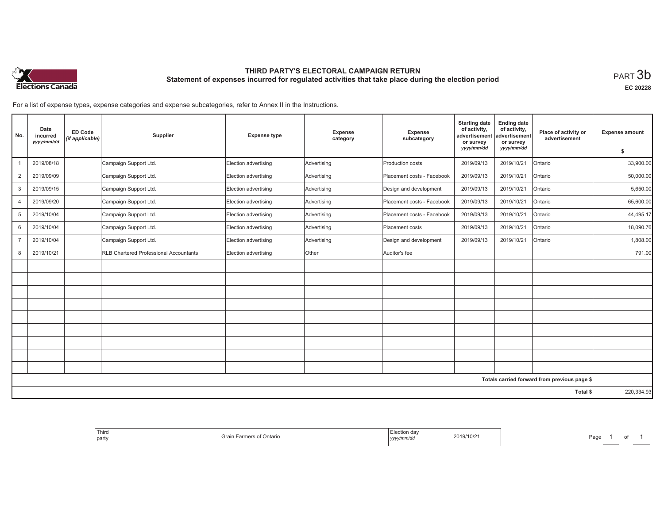

# **THIRD PARTY'S ELECTORAL CAMPAIGN RETURN Statement of expenses incurred for regulated activities that take place during the election period**<br>PART  $3\mathsf{b}$

**EC 20228**

For a list of expense types, expense categories and expense subcategories, refer to Annex II in the Instructions.

| No.            | Date<br>incurred<br>yyyy/mm/dd | <b>ED Code</b><br>(if applicable) | Supplier                                      | <b>Expense type</b>  | Expense<br>category | Expense<br>subcategory     | <b>Starting date</b><br>of activity,<br>advertisement<br>or survey | <b>Ending date</b><br>of activity,<br>advertisement<br>or survey | Place of activity or<br>advertisement        | <b>Expense amount</b> |
|----------------|--------------------------------|-----------------------------------|-----------------------------------------------|----------------------|---------------------|----------------------------|--------------------------------------------------------------------|------------------------------------------------------------------|----------------------------------------------|-----------------------|
|                |                                |                                   |                                               |                      |                     |                            | yyyy/mm/dd                                                         | yyyy/mm/dd                                                       |                                              | \$                    |
|                | 2019/08/18                     |                                   | Campaign Support Ltd.                         | Election advertising | Advertising         | Production costs           | 2019/09/13                                                         | 2019/10/21                                                       | Ontario                                      | 33,900.00             |
| $\overline{2}$ | 2019/09/09                     |                                   | Campaign Support Ltd.                         | Election advertising | Advertising         | Placement costs - Facebook | 2019/09/13                                                         | 2019/10/21                                                       | Ontario                                      | 50,000.00             |
| 3              | 2019/09/15                     |                                   | Campaign Support Ltd.                         | Election advertising | Advertising         | Design and development     | 2019/09/13                                                         | 2019/10/21                                                       | Ontario                                      | 5,650.00              |
| $\overline{4}$ | 2019/09/20                     |                                   | Campaign Support Ltd.                         | Election advertising | Advertising         | Placement costs - Facebook | 2019/09/13                                                         | 2019/10/21                                                       | Ontario                                      | 65,600.00             |
| 5              | 2019/10/04                     |                                   | Campaign Support Ltd.                         | Election advertising | Advertising         | Placement costs - Facebook | 2019/09/13                                                         | 2019/10/21                                                       | Ontario                                      | 44,495.17             |
| 6              | 2019/10/04                     |                                   | Campaign Support Ltd.                         | Election advertising | Advertising         | Placement costs            | 2019/09/13                                                         | 2019/10/21                                                       | Ontario                                      | 18,090.76             |
|                | 2019/10/04                     |                                   | Campaign Support Ltd.                         | Election advertising | Advertising         | Design and development     | 2019/09/13                                                         | 2019/10/21                                                       | Ontario                                      | 1,808.00              |
| 8              | 2019/10/21                     |                                   | <b>RLB Chartered Professional Accountants</b> | Election advertising | Other               | Auditor's fee              |                                                                    |                                                                  |                                              | 791.00                |
|                |                                |                                   |                                               |                      |                     |                            |                                                                    |                                                                  |                                              |                       |
|                |                                |                                   |                                               |                      |                     |                            |                                                                    |                                                                  |                                              |                       |
|                |                                |                                   |                                               |                      |                     |                            |                                                                    |                                                                  |                                              |                       |
|                |                                |                                   |                                               |                      |                     |                            |                                                                    |                                                                  |                                              |                       |
|                |                                |                                   |                                               |                      |                     |                            |                                                                    |                                                                  |                                              |                       |
|                |                                |                                   |                                               |                      |                     |                            |                                                                    |                                                                  |                                              |                       |
|                |                                |                                   |                                               |                      |                     |                            |                                                                    |                                                                  |                                              |                       |
|                |                                |                                   |                                               |                      |                     |                            |                                                                    |                                                                  |                                              |                       |
|                |                                |                                   |                                               |                      |                     |                            |                                                                    |                                                                  |                                              |                       |
|                |                                |                                   |                                               |                      |                     |                            |                                                                    |                                                                  | Totals carried forward from previous page \$ |                       |
| Total \$       |                                |                                   |                                               |                      |                     |                            | 220,334.93                                                         |                                                                  |                                              |                       |

| Election<br>ua<br>2019/10/2<br>∙ <i>ry/mm</i> ∕da<br>,,,,, | Gra<br>Ontario<br>armer<br>. |
|------------------------------------------------------------|------------------------------|
|------------------------------------------------------------|------------------------------|